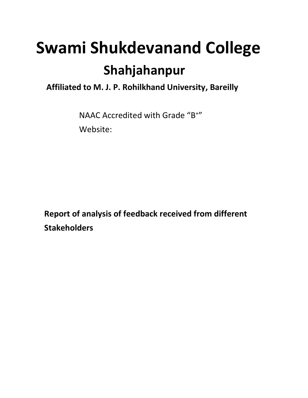# **Swami Shukdevanand College Shahjahanpur**

 **Affiliated to M. J. P. Rohilkhand University, Bareilly**

NAAC Accredited with Grade "B+" Website:

 **Report of analysis of feedback received from different Stakeholders**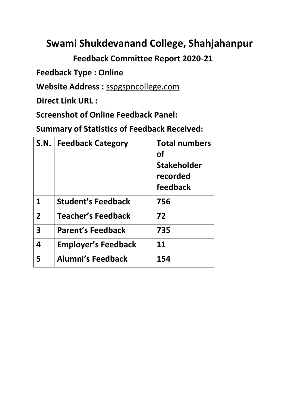## **Swami Shukdevanand College, Shahjahanpur**

 **Feedback Committee Report 2020-21**

**Feedback Type : Online**

**Website Address :** sspgspncollege.com

**Direct Link URL :**

**Screenshot of Online Feedback Panel:**

**Summary of Statistics of Feedback Received:**

| S.N.           | <b>Feedback Category</b>   | <b>Total numbers</b><br>Οf<br><b>Stakeholder</b><br>recorded |  |  |
|----------------|----------------------------|--------------------------------------------------------------|--|--|
|                |                            | feedback                                                     |  |  |
| 1              | <b>Student's Feedback</b>  | 756                                                          |  |  |
| $\overline{2}$ | <b>Teacher's Feedback</b>  | 72                                                           |  |  |
| 3              | <b>Parent's Feedback</b>   | 735                                                          |  |  |
| 4              | <b>Employer's Feedback</b> | 11                                                           |  |  |
| 5              | <b>Alumni's Feedback</b>   | 154                                                          |  |  |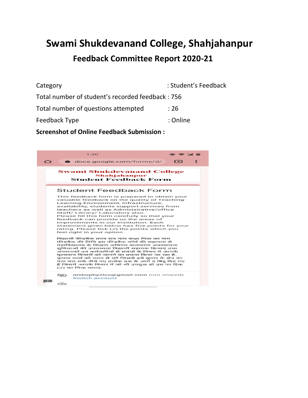# **Swami Shukdevanand College, Shahjahanpur Feedback Committee Report 2020-21**

| Category                                         | : Student's Feedback |
|--------------------------------------------------|----------------------|
| Total number of student's recorded feedback: 756 |                      |
| Total number of questions attempted              | :26                  |
| Feedback Type                                    | : Online             |
|                                                  |                      |

**Screenshot of Online Feedback Submission :**

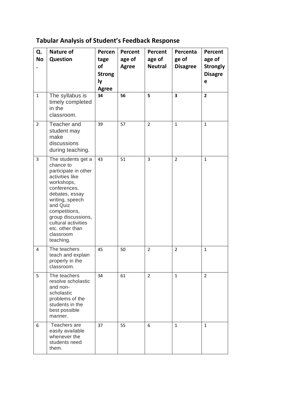## **Tabular Analysis of Student's Feedback Response**

| Q.<br><b>No</b> | <b>Nature of</b><br>Question                                                                                                                                                                                                                                         | Percen<br>tage<br>of<br><b>Strong</b><br>ly<br><b>Agree</b> | Percent<br>age of<br><b>Agree</b> | Percent<br>age of<br><b>Neutral</b> | Percenta<br>ge of<br><b>Disagree</b> | Percent<br>age of<br><b>Strongly</b><br><b>Disagre</b><br>e |
|-----------------|----------------------------------------------------------------------------------------------------------------------------------------------------------------------------------------------------------------------------------------------------------------------|-------------------------------------------------------------|-----------------------------------|-------------------------------------|--------------------------------------|-------------------------------------------------------------|
| $\mathbf{1}$    | The syllabus is<br>timely completed<br>in the<br>classroom.                                                                                                                                                                                                          | 34                                                          | 56                                | 5                                   | 3                                    | $\overline{2}$                                              |
| $\overline{2}$  | Teacher and<br>student may<br>make<br>discussions<br>during teaching.                                                                                                                                                                                                | 39                                                          | 57                                | $\overline{2}$                      | $\mathbf{1}$                         | $\mathbf{1}$                                                |
| 3               | The students get a<br>chance to<br>participate in other<br>activities like<br>workshops,<br>conferences,<br>debates, essay<br>writing, speech<br>and Quiz<br>competitions,<br>group discussions,<br>cultural activities<br>etc. other than<br>classroom<br>teaching. | 43                                                          | 51                                | 3                                   | $\overline{2}$                       | $\mathbf{1}$                                                |
| 4               | The teachers<br>teach and explain<br>properly in the<br>classroom.                                                                                                                                                                                                   | 45                                                          | 50                                | $\overline{2}$                      | $\overline{2}$                       | $\mathbf{1}$                                                |
| 5               | The teachers<br>resolve scholastic<br>and non-<br>scholastic<br>problems of the<br>students in the<br>best possible<br>manner.                                                                                                                                       | 34                                                          | 61                                | $\overline{2}$                      | $\mathbf{1}$                         | $\overline{2}$                                              |
| 6               | Teachers are<br>easily available<br>whenever the<br>students need<br>them.                                                                                                                                                                                           | 37                                                          | 55                                | 6                                   | $\mathbf{1}$                         | $\mathbf{1}$                                                |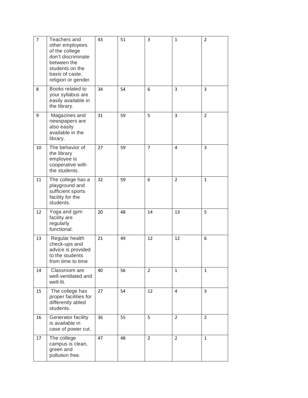| 7  | Teachers and<br>other employees<br>of the college<br>don't discriminate<br>between the<br>students on the<br>basis of caste,<br>religion or gender. | 43 | 51 | 3              | $\mathbf{1}$   | 2              |
|----|-----------------------------------------------------------------------------------------------------------------------------------------------------|----|----|----------------|----------------|----------------|
| 8  | Books related to<br>your syllabus are<br>easily available in<br>the library.                                                                        | 34 | 54 | 6              | 3              | 3              |
| 9  | Magazines and<br>newspapers are<br>also easily<br>available in the<br>library.                                                                      | 31 | 59 | 5              | 3              | $\overline{2}$ |
| 10 | The behavior of<br>the library<br>employee is<br>cooperative with<br>the students.                                                                  | 27 | 59 | $\overline{7}$ | 4              | $\overline{3}$ |
| 11 | The college has a<br>playground and<br>sufficient sports<br>facility for the<br>students.                                                           | 32 | 59 | 6              | $\overline{2}$ | $\mathbf{1}$   |
| 12 | Yoga and gym<br>facility are<br>regularly<br>functional.                                                                                            | 20 | 48 | 14             | 13             | 5              |
| 13 | Regular health<br>check-ups and<br>advice is provided<br>to the students<br>from time to time                                                       | 21 | 49 | 12             | 12             | 6              |
| 14 | Classroom are<br>well-ventilated and<br>well-lit.                                                                                                   | 40 | 56 | $\overline{2}$ | $\mathbf{1}$   | $\mathbf{1}$   |
| 15 | The college has<br>proper facilities for<br>differently abled<br>students.                                                                          | 27 | 54 | 12             | 4              | $\overline{3}$ |
| 16 | Generator facility<br>is available in<br>case of power cut.                                                                                         | 36 | 55 | 5              | $\overline{2}$ | $\overline{2}$ |
| 17 | The college<br>campus is clean,<br>green and<br>pollution free.                                                                                     | 47 | 48 | $\overline{2}$ | $\overline{2}$ | $\mathbf{1}$   |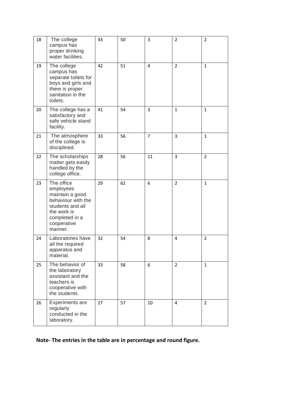| 18 | The college<br>campus has<br>proper drinking<br>water facilities.                                                                               | 43 | 50 | 3  | $\overline{2}$ | 2              |
|----|-------------------------------------------------------------------------------------------------------------------------------------------------|----|----|----|----------------|----------------|
| 19 | The college<br>campus has<br>separate toilets for<br>boys and girls and<br>there is proper<br>sanitation in the<br>toilets.                     | 42 | 51 | 4  | $\overline{2}$ | $\mathbf{1}$   |
| 20 | The college has a<br>satisfactory and<br>safe vehicle stand<br>facility.                                                                        | 41 | 54 | 3  | $\mathbf{1}$   | $\mathbf{1}$   |
| 21 | The atmosphere<br>of the college is<br>disciplined.                                                                                             | 33 | 56 | 7  | 3              | 1              |
| 22 | The scholarships<br>matter gets easily<br>handled by the<br>college office.                                                                     | 28 | 56 | 11 | 3              | $\overline{2}$ |
| 23 | The office<br>employees<br>maintain a good<br>behaviour with the<br>students and all<br>the work is<br>completed in a<br>cooperative<br>manner. | 29 | 62 | 6  | $\overline{2}$ | $\mathbf{1}$   |
| 24 | Laboratories have<br>all the required<br>apparatus and<br>material.                                                                             | 32 | 54 | 8  | 4              | $\overline{2}$ |
| 25 | The behavior of<br>the laboratory<br>assistant and the<br>teachers is<br>cooperative with<br>the students.                                      | 33 | 58 | 6  | $\overline{2}$ | $\mathbf{1}$   |
| 26 | <b>Experiments are</b><br>regularly<br>conducted in the<br>laboratory.                                                                          | 27 | 57 | 10 | 4              | $\overline{2}$ |

**Note- The entries in the table are in percentage and round figure.**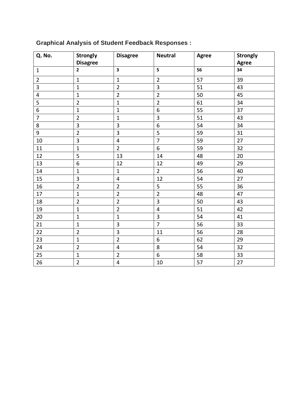| Q. No.         | <b>Strongly</b>         | <b>Disagree</b>         | <b>Neutral</b>          | Agree | Strongly |
|----------------|-------------------------|-------------------------|-------------------------|-------|----------|
|                | <b>Disagree</b>         |                         |                         |       | Agree    |
| $\mathbf{1}$   | $2^{\circ}$             | $\overline{\mathbf{3}}$ | 5                       | 56    | 34       |
| $\overline{2}$ | $\mathbf{1}$            | $\mathbf{1}$            | $\overline{2}$          | 57    | 39       |
| $\overline{3}$ | $\mathbf{1}$            | $\overline{2}$          | 3                       | 51    | 43       |
| 4              | $\mathbf{1}$            | $\overline{2}$          | $\overline{2}$          | 50    | 45       |
| 5              | $\overline{2}$          | $\mathbf 1$             | $\overline{2}$          | 61    | 34       |
| 6              | $\mathbf{1}$            | $\mathbf{1}$            | 6                       | 55    | 37       |
| $\overline{7}$ | $\overline{2}$          | $\mathbf{1}$            | $\overline{3}$          | 51    | 43       |
| 8              | $\overline{\mathbf{3}}$ | 3                       | $\boldsymbol{6}$        | 54    | 34       |
| 9              | $\overline{2}$          | 3                       | 5                       | 59    | 31       |
| 10             | 3                       | $\overline{4}$          | $\overline{7}$          | 59    | 27       |
| 11             | $\mathbf{1}$            | $\overline{2}$          | 6                       | 59    | 32       |
| 12             | 5                       | 13                      | 14                      | 48    | 20       |
| 13             | 6                       | 12                      | 12                      | 49    | 29       |
| 14             | $\mathbf{1}$            | $\mathbf{1}$            | $\overline{2}$          | 56    | 40       |
| 15             | 3                       | $\overline{4}$          | 12                      | 54    | 27       |
| 16             | $\overline{2}$          | $\overline{2}$          | 5                       | 55    | 36       |
| 17             | $\mathbf{1}$            | $\overline{2}$          | $\overline{2}$          | 48    | 47       |
| 18             | $\overline{2}$          | $\overline{2}$          | $\overline{3}$          | 50    | 43       |
| 19             | $\mathbf{1}$            | $\overline{2}$          | $\overline{\mathbf{4}}$ | 51    | 42       |
| 20             | $\mathbf{1}$            | $\mathbf{1}$            | $\overline{\mathbf{3}}$ | 54    | 41       |
| 21             | $\mathbf 1$             | 3                       | $\overline{7}$          | 56    | 33       |
| 22             | $\overline{2}$          | $\overline{\mathbf{3}}$ | 11                      | 56    | 28       |
| 23             | $\mathbf{1}$            | $\overline{2}$          | 6                       | 62    | 29       |
| 24             | $\overline{2}$          | $\overline{4}$          | 8                       | 54    | 32       |
| 25             | $\mathbf{1}$            | $\overline{2}$          | 6                       | 58    | 33       |
| 26             | $\overline{2}$          | $\overline{\mathbf{4}}$ | 10                      | 57    | 27       |

### **Graphical Analysis of Student Feedback Responses :**